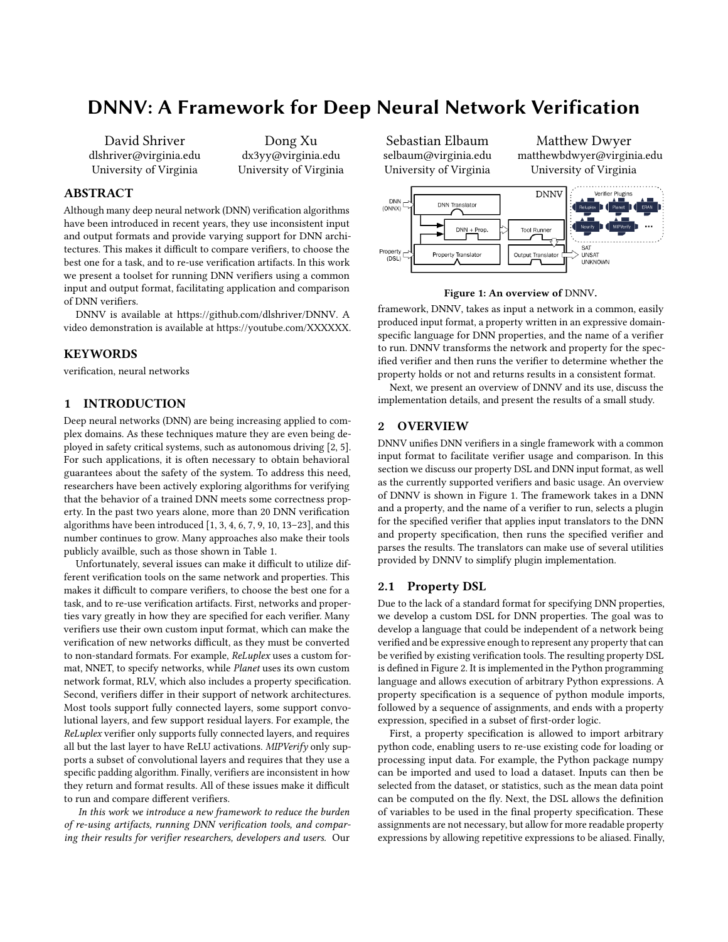# DNNV: A Framework for Deep Neural Network Verification

David Shriver dlshriver@virginia.edu University of Virginia

Dong Xu dx3yy@virginia.edu University of Virginia

## ABSTRACT

Although many deep neural network (DNN) verification algorithms have been introduced in recent years, they use inconsistent input and output formats and provide varying support for DNN architectures. This makes it difficult to compare verifiers, to choose the best one for a task, and to re-use verification artifacts. In this work we present a toolset for running DNN verifiers using a common input and output format, facilitating application and comparison of DNN verifiers.

DNNV is available at [https://github.com/dlshriver/DNNV.](https://github.com/dlshriver/DNNV) A video demonstration is available at [https://youtube.com/XXXXXX.](https://youtube.com/XXXXXX)

## **KEYWORDS**

verification, neural networks

# 1 INTRODUCTION

Deep neural networks (DNN) are being increasing applied to complex domains. As these techniques mature they are even being deployed in safety critical systems, such as autonomous driving [\[2,](#page-3-0) [5\]](#page-3-1). For such applications, it is often necessary to obtain behavioral guarantees about the safety of the system. To address this need, researchers have been actively exploring algorithms for verifying that the behavior of a trained DNN meets some correctness property. In the past two years alone, more than 20 DNN verification algorithms have been introduced [\[1,](#page-3-2) [3,](#page-3-3) [4,](#page-3-4) [6,](#page-3-5) [7,](#page-3-6) [9,](#page-3-7) [10,](#page-3-8) [13](#page-3-9)[–23\]](#page-3-10), and this number continues to grow. Many approaches also make their tools publicly availble, such as those shown in Table [1.](#page-1-0)

Unfortunately, several issues can make it difficult to utilize different verification tools on the same network and properties. This makes it difficult to compare verifiers, to choose the best one for a task, and to re-use verification artifacts. First, networks and properties vary greatly in how they are specified for each verifier. Many verifiers use their own custom input format, which can make the verification of new networks difficult, as they must be converted to non-standard formats. For example, ReLuplex uses a custom format, NNET, to specify networks, while Planet uses its own custom network format, RLV, which also includes a property specification. Second, verifiers differ in their support of network architectures. Most tools support fully connected layers, some support convolutional layers, and few support residual layers. For example, the ReLuplex verifier only supports fully connected layers, and requires all but the last layer to have ReLU activations. MIPVerify only supports a subset of convolutional layers and requires that they use a specific padding algorithm. Finally, verifiers are inconsistent in how they return and format results. All of these issues make it difficult to run and compare different verifiers.

In this work we introduce a new framework to reduce the burden of re-using artifacts, running DNN verification tools, and comparing their results for verifier researchers, developers and users. Our

Sebastian Elbaum selbaum@virginia.edu University of Virginia

Matthew Dwyer matthewbdwyer@virginia.edu University of Virginia

<span id="page-0-0"></span>

#### Figure 1: An overview of DNNV.

framework, DNNV, takes as input a network in a common, easily produced input format, a property written in an expressive domainspecific language for DNN properties, and the name of a verifier to run. DNNV transforms the network and property for the specified verifier and then runs the verifier to determine whether the property holds or not and returns results in a consistent format.

Next, we present an overview of DNNV and its use, discuss the implementation details, and present the results of a small study.

# 2 OVERVIEW

DNNV unifies DNN verifiers in a single framework with a common input format to facilitate verifier usage and comparison. In this section we discuss our property DSL and DNN input format, as well as the currently supported verifiers and basic usage. An overview of DNNV is shown in Figure [1.](#page-0-0) The framework takes in a DNN and a property, and the name of a verifier to run, selects a plugin for the specified verifier that applies input translators to the DNN and property specification, then runs the specified verifier and parses the results. The translators can make use of several utilities provided by DNNV to simplify plugin implementation.

## 2.1 Property DSL

Due to the lack of a standard format for specifying DNN properties, we develop a custom DSL for DNN properties. The goal was to develop a language that could be independent of a network being verified and be expressive enough to represent any property that can be verified by existing verification tools. The resulting property DSL is defined in Figure [2.](#page-1-1) It is implemented in the Python programming language and allows execution of arbitrary Python expressions. A property specification is a sequence of python module imports, followed by a sequence of assignments, and ends with a property expression, specified in a subset of first-order logic.

First, a property specification is allowed to import arbitrary python code, enabling users to re-use existing code for loading or processing input data. For example, the Python package numpy can be imported and used to load a dataset. Inputs can then be selected from the dataset, or statistics, such as the mean data point can be computed on the fly. Next, the DSL allows the definition of variables to be used in the final property specification. These assignments are not necessary, but allow for more readable property expressions by allowing repetitive expressions to be aliased. Finally,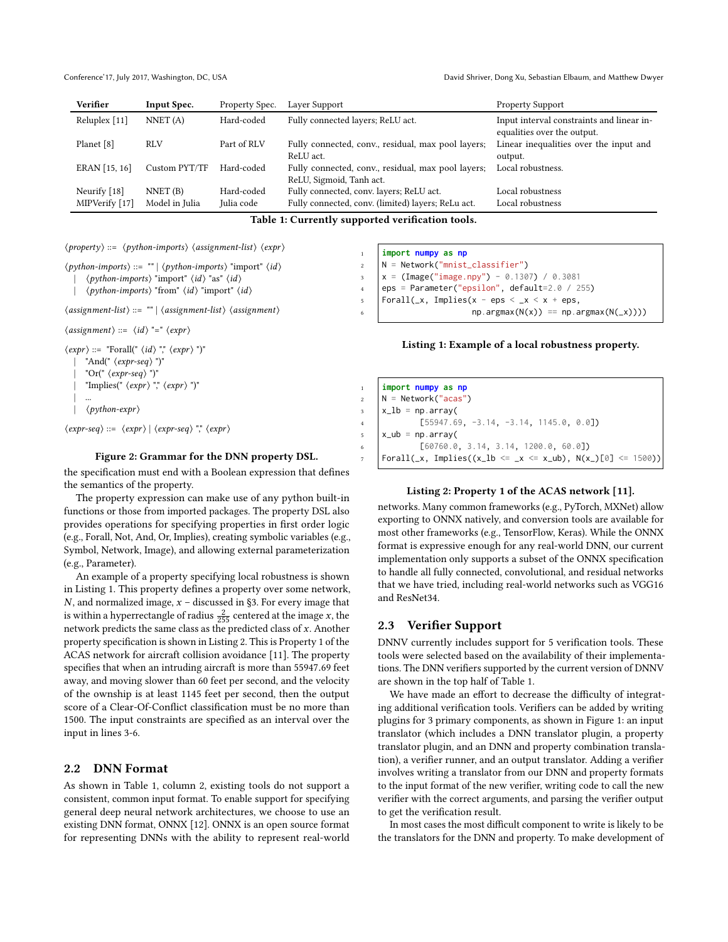Conference'17, July 2017, Washington, DC, USA David Shriver, Dong Xu, Sebastian Elbaum, and Matthew Dwyer

<span id="page-1-0"></span>

| Verifier       | Input Spec.    | Property Spec. | Layer Support                                      | <b>Property Support</b>                                                  |
|----------------|----------------|----------------|----------------------------------------------------|--------------------------------------------------------------------------|
| Reluplex [11]  | NNET $(A)$     | Hard-coded     | Fully connected layers; ReLU act.                  | Input interval constraints and linear in-<br>equalities over the output. |
| Planet [8]     | <b>RLV</b>     | Part of RLV    | Fully connected, conv., residual, max pool layers; | Linear inequalities over the input and                                   |
|                |                |                | ReLU act.                                          | output.                                                                  |
| ERAN [15, 16]  | Custom PYT/TF  | Hard-coded     | Fully connected, conv., residual, max pool layers; | Local robustness.                                                        |
|                |                |                | ReLU, Sigmoid, Tanh act.                           |                                                                          |
| Neurify [18]   | NNET(B)        | Hard-coded     | Fully connected, conv. layers; ReLU act.           | Local robustness                                                         |
| MIPVerify [17] | Model in Julia | Julia code     | Fully connected, conv. (limited) layers; ReLu act. | Local robustness                                                         |

Table 1: Currently supported verification tools.

```
\langle property \rangle ::= \langle python\text{-}imports \rangle \langle assignment\text{-}list \rangle \langle expr \rangle
```

```
⟨python-imports⟩ ::= "" | ⟨python-imports⟩ "import" ⟨id⟩
```

```
| ⟨python-imports⟩ "import" ⟨id⟩ "as" ⟨id⟩
```

```
| ⟨python-imports⟩ "from" ⟨id⟩ "import" ⟨id⟩
```

```
⟨assignment-list⟩ ::= "" | ⟨assignment-list⟩ ⟨assignment⟩
```

```
\langle assignment \rangle ::= \langle id \rangle "=" \langle expr \rangle
```

```
\langle expr \rangle ::= \text{``Forall'''} \langle id \rangle \text{''}, \langle expr \rangle \text{''})"
          "And(" \langle expres - seg \rangle")"
          "Or(" \langle expres - seg \rangle")"
          "Implies(" \langle expr \rangle"," \langle expr \rangle")"
     | ...
          | ⟨python-expr⟩
```
 $\langle expr-seq \rangle ::= \langle expr \rangle | \langle expr-seq \rangle$  ","  $\langle expr \rangle$ 

## Figure 2: Grammar for the DNN property DSL.

the specification must end with a Boolean expression that defines the semantics of the property.

The property expression can make use of any python built-in functions or those from imported packages. The property DSL also provides operations for specifying properties in first order logic (e.g., Forall, Not, And, Or, Implies), creating symbolic variables (e.g., Symbol, Network, Image), and allowing external parameterization (e.g., Parameter).

An example of a property specifying local robustness is shown in Listing [1.](#page-1-2) This property defines a property over some network,  $N$ , and normalized image,  $x$  – discussed in [§3.](#page-2-0) For every image that is within a hyperrectangle of radius  $\frac{2}{255}$  centered at the image *x*, the network predicts the same class as the predicted class of x. Another property specification is shown in Listing [2.](#page-1-3) This is Property 1 of the ACAS network for aircraft collision avoidance [\[11\]](#page-3-11). The property specifies that when an intruding aircraft is more than <sup>55947</sup>.<sup>69</sup> feet away, and moving slower than 60 feet per second, and the velocity of the ownship is at least 1145 feet per second, then the output score of a Clear-Of-Conflict classification must be no more than 1500. The input constraints are specified as an interval over the input in lines 3-6.

## 2.2 DNN Format

As shown in Table [1,](#page-1-0) column 2, existing tools do not support a consistent, common input format. To enable support for specifying general deep neural network architectures, we choose to use an existing DNN format, ONNX [\[12\]](#page-3-17). ONNX is an open source format for representing DNNs with the ability to represent real-world

```
1 import numpy as np
2 \text{ N} = \text{Network("mnist classifier")}x = (Image("image.npy") - 0.1307) / 0.30814 eps = Parameter("epsilon", default=2.0 / 255)
    Forall(\_x, Implies(x - eps < \_x < x + eps,
                        np.array(N(x)) == np.argv(N(\_x))))
```
#### Listing 1: Example of a local robustness property.

<span id="page-1-3"></span><sup>1</sup> **import numpy as np**  $2 \mid N =$  Network("acas")  $x_1$   $x_2$   $x_3$   $y_2$   $y_3$   $z_1$  $\frac{4}{14}$  [55947.69, -3.14, -3.14, 1145.0, 0.0])  $5 \times$ ub = np.array( <sup>6</sup> [60760.0, 3.14, 3.14, 1200.0, 60.0]) Forall(\_x, Implies((x\_lb <= \_x <= x\_ub), N(x\_)[0] <= 1500))

#### Listing 2: Property 1 of the ACAS network [\[11\]](#page-3-11).

networks. Many common frameworks (e.g., PyTorch, MXNet) allow exporting to ONNX natively, and conversion tools are available for most other frameworks (e.g., TensorFlow, Keras). While the ONNX format is expressive enough for any real-world DNN, our current implementation only supports a subset of the ONNX specification to handle all fully connected, convolutional, and residual networks that we have tried, including real-world networks such as VGG16 and ResNet34.

#### 2.3 Verifier Support

DNNV currently includes support for 5 verification tools. These tools were selected based on the availability of their implementations. The DNN verifiers supported by the current version of DNNV are shown in the top half of Table [1.](#page-1-0)

We have made an effort to decrease the difficulty of integrating additional verification tools. Verifiers can be added by writing plugins for 3 primary components, as shown in Figure [1:](#page-0-0) an input translator (which includes a DNN translator plugin, a property translator plugin, and an DNN and property combination translation), a verifier runner, and an output translator. Adding a verifier involves writing a translator from our DNN and property formats to the input format of the new verifier, writing code to call the new verifier with the correct arguments, and parsing the verifier output to get the verification result.

In most cases the most difficult component to write is likely to be the translators for the DNN and property. To make development of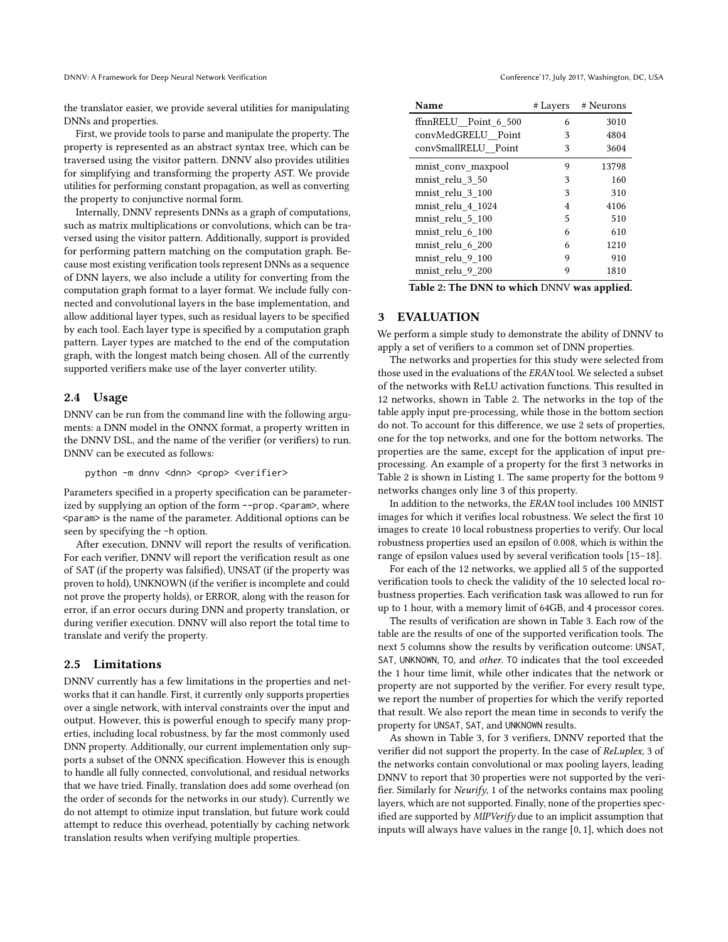DNNV: A Framework for Deep Neural Network Verification Conference' 17, July 2017, Washington, DC, USA

the translator easier, we provide several utilities for manipulating DNNs and properties.

First, we provide tools to parse and manipulate the property. The property is represented as an abstract syntax tree, which can be traversed using the visitor pattern. DNNV also provides utilities for simplifying and transforming the property AST. We provide utilities for performing constant propagation, as well as converting the property to conjunctive normal form.

Internally, DNNV represents DNNs as a graph of computations, such as matrix multiplications or convolutions, which can be traversed using the visitor pattern. Additionally, support is provided for performing pattern matching on the computation graph. Because most existing verification tools represent DNNs as a sequence of DNN layers, we also include a utility for converting from the computation graph format to a layer format. We include fully connected and convolutional layers in the base implementation, and allow additional layer types, such as residual layers to be specified by each tool. Each layer type is specified by a computation graph pattern. Layer types are matched to the end of the computation graph, with the longest match being chosen. All of the currently supported verifiers make use of the layer converter utility.

### 2.4 Usage

DNNV can be run from the command line with the following arguments: a DNN model in the ONNX format, a property written in the DNNV DSL, and the name of the verifier (or verifiers) to run. DNNV can be executed as follows:

#### python -m dnnv <dnn> <prop> <verifier>

Parameters specified in a property specification can be parameterized by supplying an option of the form --prop. <param>, where <param> is the name of the parameter. Additional options can be seen by specifying the -h option.

After execution, DNNV will report the results of verification. For each verifier, DNNV will report the verification result as one of SAT (if the property was falsified), UNSAT (if the property was proven to hold), UNKNOWN (if the verifier is incomplete and could not prove the property holds), or ERROR, along with the reason for error, if an error occurs during DNN and property translation, or during verifier execution. DNNV will also report the total time to translate and verify the property.

## 2.5 Limitations

DNNV currently has a few limitations in the properties and networks that it can handle. First, it currently only supports properties over a single network, with interval constraints over the input and output. However, this is powerful enough to specify many properties, including local robustness, by far the most commonly used DNN property. Additionally, our current implementation only supports a subset of the ONNX specification. However this is enough to handle all fully connected, convolutional, and residual networks that we have tried. Finally, translation does add some overhead (on the order of seconds for the networks in our study). Currently we do not attempt to otimize input translation, but future work could attempt to reduce this overhead, potentially by caching network translation results when verifying multiple properties.

<span id="page-2-1"></span>

| Name                 | # Layers       | # Neurons |
|----------------------|----------------|-----------|
| ffnnRELU_Point_6_500 | 6              | 3010      |
| convMedGRELU Point   | 3              | 4804      |
| convSmallRELU Point  | 3              | 3604      |
| mnist conv maxpool   | 9              | 13798     |
| mnist relu 3 50      | 3              | 160       |
| mnist relu 3 100     | 3              | 310       |
| mnist relu 4 1024    | $\overline{4}$ | 4106      |
| mnist relu 5 100     | 5              | 510       |
| mnist relu 6 100     | 6              | 610       |
| mnist relu 6 200     | 6              | 1210      |
| mnist relu 9 100     | 9              | 910       |
| mnist relu 9 200     | 9              | 1810      |

Table 2: The DNN to which DNNV was applied.

## <span id="page-2-0"></span>**EVALUATION**

We perform a simple study to demonstrate the ability of DNNV to apply a set of verifiers to a common set of DNN properties.

The networks and properties for this study were selected from those used in the evaluations of the ERAN tool. We selected a subset of the networks with ReLU activation functions. This resulted in 12 networks, shown in Table [2.](#page-2-1) The networks in the top of the table apply input pre-processing, while those in the bottom section do not. To account for this difference, we use 2 sets of properties, one for the top networks, and one for the bottom networks. The properties are the same, except for the application of input preprocessing. An example of a property for the first 3 networks in Table [2](#page-2-1) is shown in Listing [1.](#page-1-2) The same property for the bottom 9 networks changes only line 3 of this property.

In addition to the networks, the ERAN tool includes 100 MNIST images for which it verifies local robustness. We select the first 10 images to create 10 local robustness properties to verify. Our local robustness properties used an epsilon of 0.008, which is within the range of epsilon values used by several verification tools [\[15](#page-3-13)[–18\]](#page-3-15).

For each of the 12 networks, we applied all 5 of the supported verification tools to check the validity of the 10 selected local robustness properties. Each verification task was allowed to run for up to 1 hour, with a memory limit of 64GB, and 4 processor cores.

The results of verification are shown in Table [3.](#page-3-18) Each row of the table are the results of one of the supported verification tools. The next 5 columns show the results by verification outcome: UNSAT, SAT, UNKNOWN, TO, and other. TO indicates that the tool exceeded the 1 hour time limit, while other indicates that the network or property are not supported by the verifier. For every result type, we report the number of properties for which the verify reported that result. We also report the mean time in seconds to verify the property for UNSAT, SAT, and UNKNOWN results.

As shown in Table [3,](#page-3-18) for 3 verifiers, DNNV reported that the verifier did not support the property. In the case of ReLuplex, 3 of the networks contain convolutional or max pooling layers, leading DNNV to report that 30 properties were not supported by the verifier. Similarly for Neurify, 1 of the networks contains max pooling layers, which are not supported. Finally, none of the properties specified are supported by MIPVerify due to an implicit assumption that inputs will always have values in the range [0, <sup>1</sup>], which does not